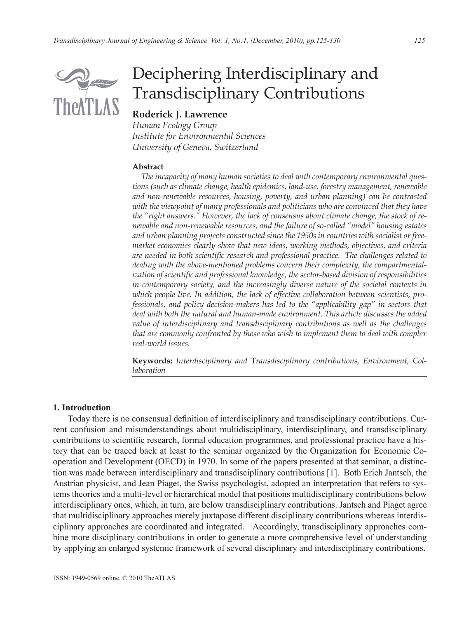

# Deciphering Interdisciplinary and Transdisciplinary Contributions

## **Roderick J. Lawrence**

*Human Ecology Group Institute for Environmental Sciences University of Geneva, Switzerland*

#### **Abstract**

 *The incapacity of many human societies to deal with contemporary environmental questions (such as climate change, health epidemics, land-use, forestry management, renewable and non-renewable resources, housing, poverty, and urban planning) can be contrasted with the viewpoint of many professionals and politicians who are convinced that they have the "right answers." However, the lack of consensus about climate change, the stock of renewable and non-renewable resources, and the failure of so-called "model" housing estates and urban planning projects constructed since the 1950s in countries with socialist or freemarket economies clearly show that new ideas, working methods, objectives, and criteria are needed in both scientific research and professional practice. The challenges related to dealing with the above-mentioned problems concern their complexity, the compartmentalization of scientific and professional knowledge, the sector-based division of responsibilities in contemporary society, and the increasingly diverse nature of the societal contexts in which people live. In addition, the lack of effective collaboration between scientists, professionals, and policy decision-makers has led to the "applicability gap" in sectors that deal with both the natural and human-made environment. This article discusses the added value of interdisciplinary and transdisciplinary contributions as well as the challenges that are commonly confronted by those who wish to implement them to deal with complex real-world issues.*

**Keywords:** *Interdisciplinary and* T*ransdisciplinary contributions, Environment, Collaboration*

#### **1. Introduction**

Today there is no consensual definition of interdisciplinary and transdisciplinary contributions. Current confusion and misunderstandings about multidisciplinary, interdisciplinary, and transdisciplinary contributions to scientific research, formal education programmes, and professional practice have a history that can be traced back at least to the seminar organized by the Organization for Economic Cooperation and Development (OECD) in 1970. In some of the papers presented at that seminar, a distinction was made between interdisciplinary and transdisciplinary contributions [1]. Both Erich Jantsch, the Austrian physicist, and Jean Piaget, the Swiss psychologist, adopted an interpretation that refers to systems theories and a multi-level or hierarchical model that positions multidisciplinary contributions below interdisciplinary ones, which, in turn, are below transdisciplinary contributions. Jantsch and Piaget agree that multidisciplinary approaches merely juxtapose different disciplinary contributions whereas interdisciplinary approaches are coordinated and integrated. Accordingly, transdisciplinary approaches combine more disciplinary contributions in order to generate a more comprehensive level of understanding by applying an enlarged systemic framework of several disciplinary and interdisciplinary contributions.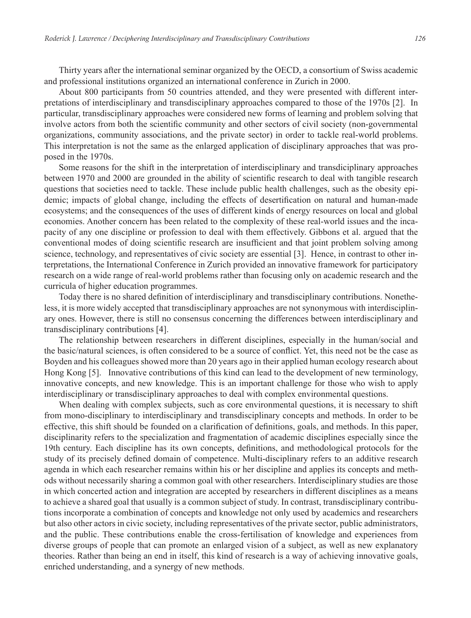Thirty years after the international seminar organized by the OECD, a consortium of Swiss academic and professional institutions organized an international conference in Zurich in 2000.

About 800 participants from 50 countries attended, and they were presented with different interpretations of interdisciplinary and transdisciplinary approaches compared to those of the 1970s [2]. In particular, transdisciplinary approaches were considered new forms of learning and problem solving that involve actors from both the scientific community and other sectors of civil society (non-governmental organizations, community associations, and the private sector) in order to tackle real-world problems. This interpretation is not the same as the enlarged application of disciplinary approaches that was proposed in the 1970s.

Some reasons for the shift in the interpretation of interdisciplinary and transdiciplinary approaches between 1970 and 2000 are grounded in the ability of scientific research to deal with tangible research questions that societies need to tackle. These include public health challenges, such as the obesity epidemic; impacts of global change, including the effects of desertification on natural and human-made ecosystems; and the consequences of the uses of different kinds of energy resources on local and global economies. Another concern has been related to the complexity of these real-world issues and the incapacity of any one discipline or profession to deal with them effectively. Gibbons et al. argued that the conventional modes of doing scientific research are insufficient and that joint problem solving among science, technology, and representatives of civic society are essential [3]. Hence, in contrast to other interpretations, the International Conference in Zurich provided an innovative framework for participatory research on a wide range of real-world problems rather than focusing only on academic research and the curricula of higher education programmes.

Today there is no shared definition of interdisciplinary and transdisciplinary contributions. Nonetheless, it is more widely accepted that transdisciplinary approaches are not synonymous with interdisciplinary ones. However, there is still no consensus concerning the differences between interdisciplinary and transdisciplinary contributions [4].

The relationship between researchers in different disciplines, especially in the human/social and the basic/natural sciences, is often considered to be a source of conflict. Yet, this need not be the case as Boyden and his colleagues showed more than 20 years ago in their applied human ecology research about Hong Kong [5]. Innovative contributions of this kind can lead to the development of new terminology, innovative concepts, and new knowledge. This is an important challenge for those who wish to apply interdisciplinary or transdisciplinary approaches to deal with complex environmental questions.

When dealing with complex subjects, such as core environmental questions, it is necessary to shift from mono-disciplinary to interdisciplinary and transdisciplinary concepts and methods. In order to be effective, this shift should be founded on a clarification of definitions, goals, and methods. In this paper, disciplinarity refers to the specialization and fragmentation of academic disciplines especially since the 19th century. Each discipline has its own concepts, definitions, and methodological protocols for the study of its precisely defined domain of competence. Multi-disciplinary refers to an additive research agenda in which each researcher remains within his or her discipline and applies its concepts and methods without necessarily sharing a common goal with other researchers. Interdisciplinary studies are those in which concerted action and integration are accepted by researchers in different disciplines as a means to achieve a shared goal that usually is a common subject of study. In contrast, transdisciplinary contributions incorporate a combination of concepts and knowledge not only used by academics and researchers but also other actors in civic society, including representatives of the private sector, public administrators, and the public. These contributions enable the cross-fertilisation of knowledge and experiences from diverse groups of people that can promote an enlarged vision of a subject, as well as new explanatory theories. Rather than being an end in itself, this kind of research is a way of achieving innovative goals, enriched understanding, and a synergy of new methods.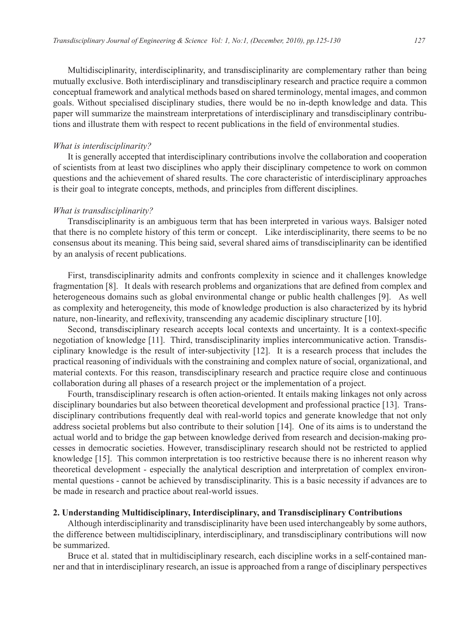Multidisciplinarity, interdisciplinarity, and transdisciplinarity are complementary rather than being mutually exclusive. Both interdisciplinary and transdisciplinary research and practice require a common conceptual framework and analytical methods based on shared terminology, mental images, and common goals. Without specialised disciplinary studies, there would be no in-depth knowledge and data. This paper will summarize the mainstream interpretations of interdisciplinary and transdisciplinary contributions and illustrate them with respect to recent publications in the field of environmental studies.

### *What is interdisciplinarity?*

It is generally accepted that interdisciplinary contributions involve the collaboration and cooperation of scientists from at least two disciplines who apply their disciplinary competence to work on common questions and the achievement of shared results. The core characteristic of interdisciplinary approaches is their goal to integrate concepts, methods, and principles from different disciplines.

#### *What is transdisciplinarity?*

Transdisciplinarity is an ambiguous term that has been interpreted in various ways. Balsiger noted that there is no complete history of this term or concept. Like interdisciplinarity, there seems to be no consensus about its meaning. This being said, several shared aims of transdisciplinarity can be identified by an analysis of recent publications.

First, transdisciplinarity admits and confronts complexity in science and it challenges knowledge fragmentation [8]. It deals with research problems and organizations that are defined from complex and heterogeneous domains such as global environmental change or public health challenges [9]. As well as complexity and heterogeneity, this mode of knowledge production is also characterized by its hybrid nature, non-linearity, and reflexivity, transcending any academic disciplinary structure [10].

Second, transdisciplinary research accepts local contexts and uncertainty. It is a context-specific negotiation of knowledge [11]. Third, transdisciplinarity implies intercommunicative action. Transdisciplinary knowledge is the result of inter-subjectivity [12]. It is a research process that includes the practical reasoning of individuals with the constraining and complex nature of social, organizational, and material contexts. For this reason, transdisciplinary research and practice require close and continuous collaboration during all phases of a research project or the implementation of a project.

Fourth, transdisciplinary research is often action-oriented. It entails making linkages not only across disciplinary boundaries but also between theoretical development and professional practice [13]. Transdisciplinary contributions frequently deal with real-world topics and generate knowledge that not only address societal problems but also contribute to their solution [14]. One of its aims is to understand the actual world and to bridge the gap between knowledge derived from research and decision-making processes in democratic societies. However, transdisciplinary research should not be restricted to applied knowledge [15]. This common interpretation is too restrictive because there is no inherent reason why theoretical development - especially the analytical description and interpretation of complex environmental questions - cannot be achieved by transdisciplinarity. This is a basic necessity if advances are to be made in research and practice about real-world issues.

### **2. Understanding Multidisciplinary, Interdisciplinary, and Transdisciplinary Contributions**

Although interdisciplinarity and transdisciplinarity have been used interchangeably by some authors, the difference between multidisciplinary, interdisciplinary, and transdisciplinary contributions will now be summarized.

Bruce et al. stated that in multidisciplinary research, each discipline works in a self-contained manner and that in interdisciplinary research, an issue is approached from a range of disciplinary perspectives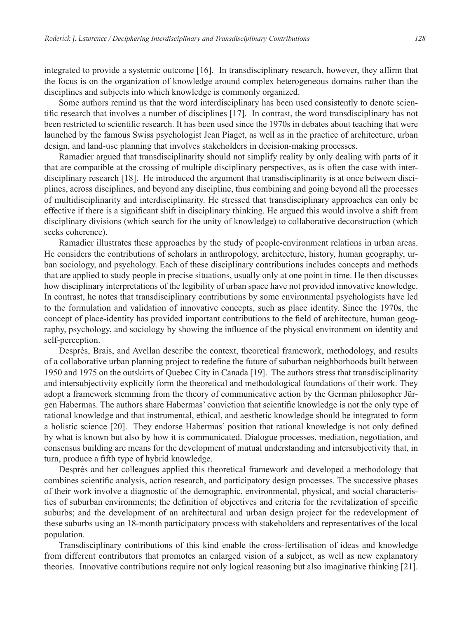integrated to provide a systemic outcome [16]. In transdisciplinary research, however, they affirm that the focus is on the organization of knowledge around complex heterogeneous domains rather than the disciplines and subjects into which knowledge is commonly organized.

Some authors remind us that the word interdisciplinary has been used consistently to denote scientific research that involves a number of disciplines [17]. In contrast, the word transdisciplinary has not been restricted to scientific research. It has been used since the 1970s in debates about teaching that were launched by the famous Swiss psychologist Jean Piaget, as well as in the practice of architecture, urban design, and land-use planning that involves stakeholders in decision-making processes.

Ramadier argued that transdisciplinarity should not simplify reality by only dealing with parts of it that are compatible at the crossing of multiple disciplinary perspectives, as is often the case with interdisciplinary research [18]. He introduced the argument that transdisciplinarity is at once between disciplines, across disciplines, and beyond any discipline, thus combining and going beyond all the processes of multidisciplinarity and interdisciplinarity. He stressed that transdisciplinary approaches can only be effective if there is a significant shift in disciplinary thinking. He argued this would involve a shift from disciplinary divisions (which search for the unity of knowledge) to collaborative deconstruction (which seeks coherence).

Ramadier illustrates these approaches by the study of people-environment relations in urban areas. He considers the contributions of scholars in anthropology, architecture, history, human geography, urban sociology, and psychology. Each of these disciplinary contributions includes concepts and methods that are applied to study people in precise situations, usually only at one point in time. He then discusses how disciplinary interpretations of the legibility of urban space have not provided innovative knowledge. In contrast, he notes that transdisciplinary contributions by some environmental psychologists have led to the formulation and validation of innovative concepts, such as place identity. Since the 1970s, the concept of place-identity has provided important contributions to the field of architecture, human geography, psychology, and sociology by showing the influence of the physical environment on identity and self-perception.

Després, Brais, and Avellan describe the context, theoretical framework, methodology, and results of a collaborative urban planning project to redefine the future of suburban neighborhoods built between 1950 and 1975 on the outskirts of Quebec City in Canada [19]. The authors stress that transdisciplinarity and intersubjectivity explicitly form the theoretical and methodological foundations of their work. They adopt a framework stemming from the theory of communicative action by the German philosopher Jürgen Habermas. The authors share Habermas' conviction that scientific knowledge is not the only type of rational knowledge and that instrumental, ethical, and aesthetic knowledge should be integrated to form a holistic science [20]. They endorse Habermas' position that rational knowledge is not only defined by what is known but also by how it is communicated. Dialogue processes, mediation, negotiation, and consensus building are means for the development of mutual understanding and intersubjectivity that, in turn, produce a fifth type of hybrid knowledge.

Després and her colleagues applied this theoretical framework and developed a methodology that combines scientific analysis, action research, and participatory design processes. The successive phases of their work involve a diagnostic of the demographic, environmental, physical, and social characteristics of suburban environments; the definition of objectives and criteria for the revitalization of specific suburbs; and the development of an architectural and urban design project for the redevelopment of these suburbs using an 18-month participatory process with stakeholders and representatives of the local population.

Transdisciplinary contributions of this kind enable the cross-fertilisation of ideas and knowledge from different contributors that promotes an enlarged vision of a subject, as well as new explanatory theories. Innovative contributions require not only logical reasoning but also imaginative thinking [21].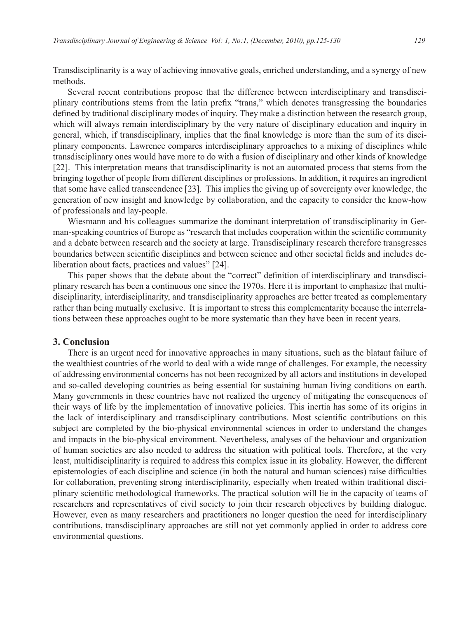Transdisciplinarity is a way of achieving innovative goals, enriched understanding, and a synergy of new methods.

Several recent contributions propose that the difference between interdisciplinary and transdisciplinary contributions stems from the latin prefix "trans," which denotes transgressing the boundaries defined by traditional disciplinary modes of inquiry. They make a distinction between the research group, which will always remain interdisciplinary by the very nature of disciplinary education and inquiry in general, which, if transdisciplinary, implies that the final knowledge is more than the sum of its disciplinary components. Lawrence compares interdisciplinary approaches to a mixing of disciplines while transdisciplinary ones would have more to do with a fusion of disciplinary and other kinds of knowledge [22]. This interpretation means that transdisciplinarity is not an automated process that stems from the bringing together of people from different disciplines or professions. In addition, it requires an ingredient that some have called transcendence [23]. This implies the giving up of sovereignty over knowledge, the generation of new insight and knowledge by collaboration, and the capacity to consider the know-how of professionals and lay-people.

Wiesmann and his colleagues summarize the dominant interpretation of transdisciplinarity in German-speaking countries of Europe as "research that includes cooperation within the scientific community and a debate between research and the society at large. Transdisciplinary research therefore transgresses boundaries between scientific disciplines and between science and other societal fields and includes deliberation about facts, practices and values" [24].

This paper shows that the debate about the "correct" definition of interdisciplinary and transdisciplinary research has been a continuous one since the 1970s. Here it is important to emphasize that multidisciplinarity, interdisciplinarity, and transdisciplinarity approaches are better treated as complementary rather than being mutually exclusive. It is important to stress this complementarity because the interrelations between these approaches ought to be more systematic than they have been in recent years.

## **3. Conclusion**

There is an urgent need for innovative approaches in many situations, such as the blatant failure of the wealthiest countries of the world to deal with a wide range of challenges. For example, the necessity of addressing environmental concerns has not been recognized by all actors and institutions in developed and so-called developing countries as being essential for sustaining human living conditions on earth. Many governments in these countries have not realized the urgency of mitigating the consequences of their ways of life by the implementation of innovative policies. This inertia has some of its origins in the lack of interdisciplinary and transdisciplinary contributions. Most scientific contributions on this subject are completed by the bio-physical environmental sciences in order to understand the changes and impacts in the bio-physical environment. Nevertheless, analyses of the behaviour and organization of human societies are also needed to address the situation with political tools. Therefore, at the very least, multidisciplinarity is required to address this complex issue in its globality. However, the different epistemologies of each discipline and science (in both the natural and human sciences) raise difficulties for collaboration, preventing strong interdisciplinarity, especially when treated within traditional disciplinary scientific methodological frameworks. The practical solution will lie in the capacity of teams of researchers and representatives of civil society to join their research objectives by building dialogue. However, even as many researchers and practitioners no longer question the need for interdisciplinary contributions, transdisciplinary approaches are still not yet commonly applied in order to address core environmental questions.